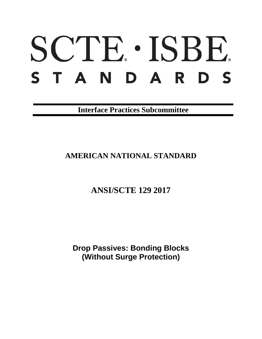# SCTE. ISBE. S T A N D A R D S

**Interface Practices Subcommittee**

# **AMERICAN NATIONAL STANDARD**

**ANSI/SCTE 129 2017**

**Drop Passives: Bonding Blocks (Without Surge Protection)**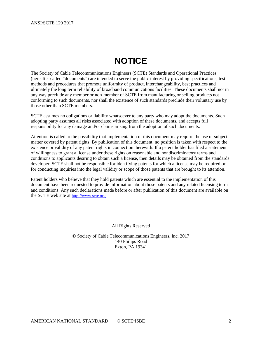# **NOTICE**

<span id="page-1-0"></span>The Society of Cable Telecommunications Engineers (SCTE) Standards and Operational Practices (hereafter called "documents") are intended to serve the public interest by providing specifications, test methods and procedures that promote uniformity of product, interchangeability, best practices and ultimately the long term reliability of broadband communications facilities. These documents shall not in any way preclude any member or non-member of SCTE from manufacturing or selling products not conforming to such documents, nor shall the existence of such standards preclude their voluntary use by those other than SCTE members.

SCTE assumes no obligations or liability whatsoever to any party who may adopt the documents. Such adopting party assumes all risks associated with adoption of these documents, and accepts full responsibility for any damage and/or claims arising from the adoption of such documents.

Attention is called to the possibility that implementation of this document may require the use of subject matter covered by patent rights. By publication of this document, no position is taken with respect to the existence or validity of any patent rights in connection therewith. If a patent holder has filed a statement of willingness to grant a license under these rights on reasonable and nondiscriminatory terms and conditions to applicants desiring to obtain such a license, then details may be obtained from the standards developer. SCTE shall not be responsible for identifying patents for which a license may be required or for conducting inquiries into the legal validity or scope of those patents that are brought to its attention.

Patent holders who believe that they hold patents which are essential to the implementation of this document have been requested to provide information about those patents and any related licensing terms and conditions. Any such declarations made before or after publication of this document are available on the SCTE web site at [http://www.scte.org.](http://www.scte.org/)

All Rights Reserved

© Society of Cable Telecommunications Engineers, Inc. 2017 140 Philips Road Exton, PA 19341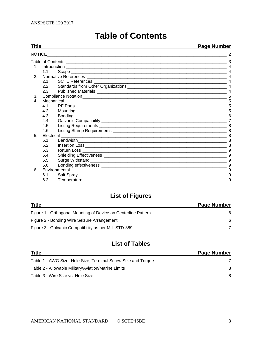<span id="page-2-0"></span>

| Title |                              | <b>Page Number</b>                                                                                                                                                                                                                                                     |  |
|-------|------------------------------|------------------------------------------------------------------------------------------------------------------------------------------------------------------------------------------------------------------------------------------------------------------------|--|
|       |                              |                                                                                                                                                                                                                                                                        |  |
|       |                              |                                                                                                                                                                                                                                                                        |  |
|       |                              |                                                                                                                                                                                                                                                                        |  |
|       |                              |                                                                                                                                                                                                                                                                        |  |
|       |                              |                                                                                                                                                                                                                                                                        |  |
|       |                              |                                                                                                                                                                                                                                                                        |  |
|       |                              |                                                                                                                                                                                                                                                                        |  |
| 2.3.  |                              |                                                                                                                                                                                                                                                                        |  |
|       |                              |                                                                                                                                                                                                                                                                        |  |
|       |                              |                                                                                                                                                                                                                                                                        |  |
| 41    |                              |                                                                                                                                                                                                                                                                        |  |
| 4.2.  |                              |                                                                                                                                                                                                                                                                        |  |
| 4.3.  |                              |                                                                                                                                                                                                                                                                        |  |
| 4.4.  |                              |                                                                                                                                                                                                                                                                        |  |
|       |                              |                                                                                                                                                                                                                                                                        |  |
| 4.6.  |                              |                                                                                                                                                                                                                                                                        |  |
|       |                              |                                                                                                                                                                                                                                                                        |  |
| 5.1.  |                              |                                                                                                                                                                                                                                                                        |  |
| 5.2.  |                              |                                                                                                                                                                                                                                                                        |  |
|       |                              |                                                                                                                                                                                                                                                                        |  |
|       |                              |                                                                                                                                                                                                                                                                        |  |
| 5.5.  |                              | 9                                                                                                                                                                                                                                                                      |  |
| 5.6.  |                              |                                                                                                                                                                                                                                                                        |  |
|       |                              |                                                                                                                                                                                                                                                                        |  |
| 6.1.  |                              | 9                                                                                                                                                                                                                                                                      |  |
|       |                              |                                                                                                                                                                                                                                                                        |  |
|       | 4.5.<br>5.3.<br>5.4.<br>6.2. | NOTICE <b>All and the Contract of Contract Contract Contract Contract Contract Contract Contract Contract Contract Contract Contract Contract Contract Contract Contract Contract Contract Contract Contract Contract Contract C</b><br>1.1<br>2.1<br>22<br>Electrical |  |

# **Table of Contents**

# **List of Figures**

| <b>Title</b>                                                   | <b>Page Number</b> |
|----------------------------------------------------------------|--------------------|
| Figure 1 - Orthogonal Mounting of Device on Centerline Pattern | 6                  |
| Figure 2 - Bonding Wire Seizure Arrangement                    | 6                  |
| Figure 3 - Galvanic Compatibility as per MIL-STD-889           |                    |

# **List of Tables**

| <b>Title</b>                                                  | <b>Page Number</b> |
|---------------------------------------------------------------|--------------------|
| Table 1 - AWG Size, Hole Size, Terminal Screw Size and Torque |                    |
| Table 2 - Allowable Military/Aviation/Marine Limits           | 8                  |
| Table 3 - Wire Size vs. Hole Size                             | 8                  |
|                                                               |                    |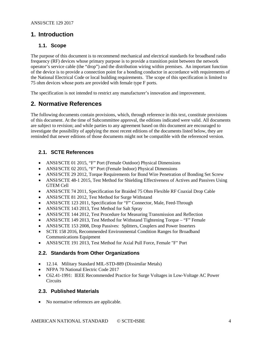#### <span id="page-3-1"></span><span id="page-3-0"></span>**1. Introduction**

#### **1.1. Scope**

The purpose of this document is to recommend mechanical and electrical standards for broadband radio frequency (RF) devices whose primary purpose is to provide a transition point between the network operator's service cable (the "drop") and the distribution wiring within premises. An important function of the device is to provide a connection point for a bonding conductor in accordance with requirements of the National Electrical Code or local building requirements. The scope of this specification is limited to 75 ohm devices whose ports are provided with female type F ports.

<span id="page-3-2"></span>The specification is not intended to restrict any manufacturer's innovation and improvement.

## **2. Normative References**

The following documents contain provisions, which, through reference in this text, constitute provisions of this document. At the time of Subcommittee approval, the editions indicated were valid. All documents are subject to revision; and while parties to any agreement based on this document are encouraged to investigate the possibility of applying the most recent editions of the documents listed below, they are reminded that newer editions of those documents might not be compatible with the referenced version.

#### <span id="page-3-3"></span>**2.1. SCTE References**

- ANSI/SCTE 01 2015, "F" Port (Female Outdoor) Physical Dimensions
- ANSI/SCTE 02 2015, "F" Port (Female Indoor) Physical Dimensions
- ANSI/SCTE 29 2012, Torque Requirements for Bond Wire Penetration of Bonding Set Screw
- ANSI/SCTE 48-1 2015, Test Method for Shielding Effectiveness of Actives and Passives Using GTEM Cell
- ANSI/SCTE 74 2011, Specification for Braided 75 Ohm Flexible RF Coaxial Drop Cable
- ANSI/SCTE 81 2012, Test Method for Surge Withstand
- ANSI/SCTE 123 2011, Specification for "F" Connector, Male, Feed-Through
- ANSI/SCTE 143 2013, Test Method for Salt Spray
- ANSI/SCTE 144 2012, Test Procedure for Measuring Transmission and Reflection
- ANSI/SCTE 149 2013, Test Method for Withstand Tightening Torque "F" Female
- ANSI/SCTE 153 2008, Drop Passives: Splitters, Couplers and Power Inserters
- SCTE 158 2016, Recommended Environmental Condition Ranges for Broadband Communications Equipment
- ANSI/SCTE 191 2013, Test Method for Axial Pull Force, Female "F" Port

#### <span id="page-3-4"></span>**2.2. Standards from Other Organizations**

- 12.14. Military Standard MIL-STD-889 (Dissimilar Metals)
- NFPA 70 National Electric Code 2017
- C62.41-1991: IEEE Recommended Practice for Surge Voltages in Low-Voltage AC Power **Circuits**

#### <span id="page-3-5"></span>**2.3. Published Materials**

• No normative references are applicable.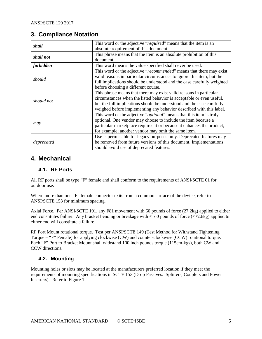### <span id="page-4-0"></span>**3. Compliance Notation**

| shall      | This word or the adjective "required" means that the item is an        |
|------------|------------------------------------------------------------------------|
|            | absolute requirement of this document.                                 |
| shall not  | This phrase means that the item is an absolute prohibition of this     |
|            | document.                                                              |
| forbidden  | This word means the value specified shall never be used.               |
|            | This word or the adjective "recommended" means that there may exist    |
| should     | valid reasons in particular circumstances to ignore this item, but the |
|            | full implications should be understood and the case carefully weighted |
|            | before choosing a different course.                                    |
|            | This phrase means that there may exist valid reasons in particular     |
| should not | circumstances when the listed behavior is acceptable or even useful,   |
|            | but the full implications should be understood and the case carefully  |
|            | weighed before implementing any behavior described with this label.    |
|            | This word or the adjective "optional" means that this item is truly    |
|            | optional. One vendor may choose to include the item because a          |
| may        | particular marketplace requires it or because it enhances the product, |
|            | for example; another vendor may omit the same item.                    |
|            | Use is permissible for legacy purposes only. Deprecated features may   |
| deprecated | be removed from future versions of this document. Implementations      |
|            | should avoid use of deprecated features.                               |

## <span id="page-4-2"></span><span id="page-4-1"></span>**4. Mechanical**

#### **4.1. RF Ports**

All RF ports shall be type "F" female and shall conform to the requirements of ANSI/SCTE 01 for outdoor use.

Where more than one "F" female connector exits from a common surface of the device, refer to ANSI/SCTE 153 for minimum spacing.

Axial Force. Per ANSI/SCTE 191, any F81 movement with 60 pounds of force (27.2kg) applied to either end constitutes failure. Any bracket bending or breakage with ≤160 pounds of force (≤72.6kg) applied to either end will constitute a failure.

RF Port Mount rotational torque. Test per ANSI/SCTE 149 (Test Method for Withstand Tightening Torque – "F" Female) for applying clockwise (CW) and counter-clockwise (CCW) rotational torque. Each "F" Port to Bracket Mount shall withstand 100 inch pounds torque (115cm-kgs), both CW and CCW directions.

#### <span id="page-4-3"></span>**4.2. Mounting**

Mounting holes or slots may be located at the manufacturers preferred location if they meet the requirements of mounting specifications in SCTE 153 (Drop Passives: Splitters, Couplers and Power Inserters). Refer to [Figure 1.](#page-5-1)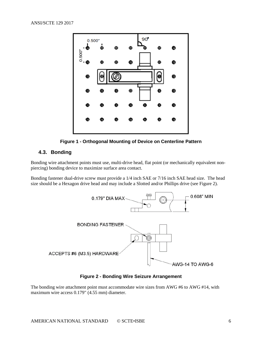



#### <span id="page-5-1"></span><span id="page-5-0"></span>**4.3. Bonding**

Bonding wire attachment points must use, multi-drive head, flat point (or mechanically equivalent nonpiercing) bonding device to maximize surface area contact.

Bonding fastener dual-drive screw must provide a 1/4 inch SAE or 7/16 inch SAE head size. The head size should be a Hexagon drive head and may include a Slotted and/or Phillips drive (see [Figure 2\)](#page-5-2).



**Figure 2 - Bonding Wire Seizure Arrangement**

<span id="page-5-2"></span>The bonding wire attachment point must accommodate wire sizes from AWG #6 to AWG #14, with maximum wire access 0.179" (4.55 mm) diameter.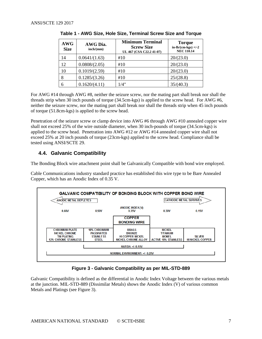<span id="page-6-2"></span>

| <b>AWG</b><br><b>Size</b> | AWG Dia.<br>inch/(mm) | <b>Minimum Terminal</b><br><b>Screw Size</b><br>UL 467 (CSA C22.2 41-07) | <b>Torque</b><br>$in-lb/(cm-kgs)$ +/-2<br><b>NEC 110.14</b> |
|---------------------------|-----------------------|--------------------------------------------------------------------------|-------------------------------------------------------------|
| 14                        | 0.0641/(1.63)         | #10                                                                      | 20/(23.0)                                                   |
| 12                        | 0.0808/(2.05)         | #10                                                                      | 20/(23.0)                                                   |
| 10                        | 0.1019/(2.59)         | #10                                                                      | 20/(23.0)                                                   |
| 8                         | 0.1285/(3.26)         | #10                                                                      | 25/(28.8)                                                   |
|                           | 0.1620/(4.11)         | 1/4"                                                                     | 35/(40.3)                                                   |

|  |  |  |  |  | Table 1 - AWG Size, Hole Size, Terminal Screw Size and Torque |  |  |  |  |
|--|--|--|--|--|---------------------------------------------------------------|--|--|--|--|
|--|--|--|--|--|---------------------------------------------------------------|--|--|--|--|

For AWG #14 through AWG #8, neither the seizure screw, nor the mating part shall break nor shall the threads strip when 30 inch pounds of torque (34.5cm-kgs) is applied to the screw head. For AWG #6, neither the seizure screw, nor the mating part shall break nor shall the threads strip when 45 inch pounds of torque (51.8cm-kgs) is applied to the screw head.

Penetration of the seizure screw or clamp device into AWG #6 through AWG #10 annealed copper wire shall not exceed 25% of the wire outside diameter, when 30 inch-pounds of torque (34.5cm-kgs) is applied to the screw head. Penetration into AWG #12 or AWG #14 annealed copper wire shall not exceed 25% at 20 inch pounds of torque (23cm-kgs) applied to the screw head. Compliance shall be tested using ANSI/SCTE 29.

#### <span id="page-6-0"></span>**4.4. Galvanic Compatibility**

The Bonding Block wire attachment point shall be Galvanically Compatible with bond wire employed.

Cable Communications industry standard practice has established this wire type to be Bare Annealed Copper, which has an Anodic Index of 0.35 V.



#### **Figure 3 - Galvanic Compatibility as per MIL-STD-889**

<span id="page-6-1"></span>Galvanic Compatibility is defined as the differential in Anodic Index Voltage between the various metals at the junction. MIL-STD-889 (Dissimilar Metals) shows the Anodic Index (V) of various common Metals and Platings (see [Figure 3\)](#page-6-1).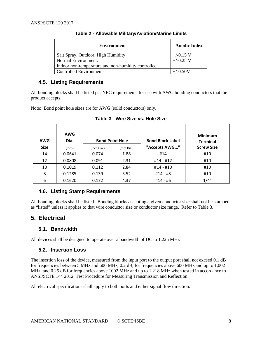<span id="page-7-5"></span>

| <b>Environment</b>                                 | <b>Anodic Index</b> |
|----------------------------------------------------|---------------------|
| Salt Spray, Outdoor, High Humidity                 | $+/-0.15$ V         |
| Normal Environment:                                | $+/-0.25$ V         |
| Indoor non-temperature and non-humidity controlled |                     |
| Controlled Environments                            | $+/-0.50V$          |

| Table 2 - Allowable Military/Aviation/Marine Limits |  |  |  |  |  |
|-----------------------------------------------------|--|--|--|--|--|
|-----------------------------------------------------|--|--|--|--|--|

#### <span id="page-7-0"></span>**4.5. Listing Requirements**

All bonding blocks shall be listed per NEC requirements for use with AWG bonding conductors that the product accepts.

<span id="page-7-6"></span>Note: Bond point hole sizes are for AWG (solid conductors) only.

| <b>AWG</b>  | <b>AWG</b><br>Dia. |             | <b>Bond Point Hole</b> | <b>Bond Block Label</b> | <b>Minimum</b><br><b>Terminal</b> |
|-------------|--------------------|-------------|------------------------|-------------------------|-----------------------------------|
| <b>Size</b> | (inch)             | (Inch Dia.) | (mm Dia.)              | "Accepts AWG"           | <b>Screw Size</b>                 |
| 14          | 0.0641             | 0.074       | 1.88                   | #14                     | #10                               |
| 12          | 0.0808             | 0.091       | 2.31                   | $#14 - #12$             | #10                               |
| 10          | 0.1019             | 0.112       | 2.84                   | #14 - #10               | #10                               |
| 8           | 0.1285             | 0.139       | 3.52                   | #14 - #8                | #10                               |
| 6           | 0.1620             | 0.172       | 4.37                   | #14 - #6                | 1/4"                              |

**Table 3 - Wire Size vs. Hole Size**

#### <span id="page-7-1"></span>**4.6. Listing Stamp Requirements**

All bonding blocks shall be listed. Bonding blocks accepting a given conductor size shall not be stamped as "listed" unless it applies to that wire conductor size or conductor size range. Refer to [Table 3.](#page-7-6)

## <span id="page-7-2"></span>**5. Electrical**

#### <span id="page-7-3"></span>**5.1. Bandwidth**

<span id="page-7-4"></span>All devices shall be designed to operate over a bandwidth of DC to 1,225 MHz

#### **5.2. Insertion Loss**

The insertion loss of the device, measured from the input port to the output port shall not exceed 0.1 dB for frequencies between 5 MHz and 600 MHz, 0.2 dB, for frequencies above 600 MHz and up to 1,002 MHz, and 0.25 dB for frequencies above 1002 MHz and up to 1,218 MHz when tested in accordance to ANSI/SCTE 144 2012, Test Procedure for Measuring Transmission and Reflection.

All electrical specifications shall apply to both ports and either signal flow direction.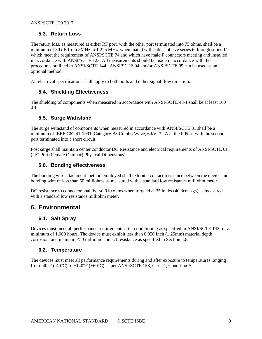#### <span id="page-8-0"></span>**5.3. Return Loss**

The return loss, as measured at either RF port, with the other port terminated into 75 ohms, shall be a minimum of 30 dB from 5MHz to 1,225 MHz, when mated with cables of size series 6 through series 11 which meet the requirement of ANSI/SCTE 74 and which have male F connectors meeting and installed in accordance with ANSI/SCTE 123. All measurements should be made in accordance with the procedures outlined in ANSI/SCTE 144. ANSI/SCTE 04 and/or ANSI/SCTE 05 can be used as an optional method.

<span id="page-8-1"></span>All electrical specifications shall apply to both ports and either signal flow direction.

#### **5.4. Shielding Effectiveness**

The shielding of components when measured in accordance with ANSI/SCTE 48-1 shall be at least 100 dB.

#### <span id="page-8-2"></span>**5.5. Surge Withstand**

The surge withstand of components when measured in accordance with ANSI/SCTE 81 shall be a minimum of IEEE C62.41-1991, Category B3 Combo Wave, 6 kV, 3 kA at the F Port, with the second port terminated into a short circuit.

<span id="page-8-3"></span>Post surge shall maintain center conductor DC Resistance and electrical requirements of ANSI/SCTE 01 ("F" Port (Female Outdoor) Physical Dimensions).

#### **5.6. Bonding effectiveness**

The bonding wire attachment method employed shall exhibit a contact resistance between the device and bonding wire of less than 50 milliohms as measured with a standard low resistance milliohm meter.

DC resistance to connector shall be <0.010 ohms when torqued at 35 in lbs (40.3cm-kgs) as measured with a standard low resistance milliohm meter.

#### <span id="page-8-5"></span><span id="page-8-4"></span>**6. Environmental**

#### **6.1. Salt Spray**

Devices must meet all performance requirements after conditioning as specified in ANSI/SCTE 143 for a minimum of 1,000 hours. The device must exhibit less than 0.050 Inch (1.25mm) material depth corrosion, and maintain <50 milliohm contact resistance as specified in Section 5.6.

#### <span id="page-8-6"></span>**6.2. Temperature**

The devices must meet all performance requirements during and after exposure to temperatures ranging from -40°F (-40°C) to  $+140$ °F (+60°C) as per ANSI/SCTE 158, Class 1, Condition A.